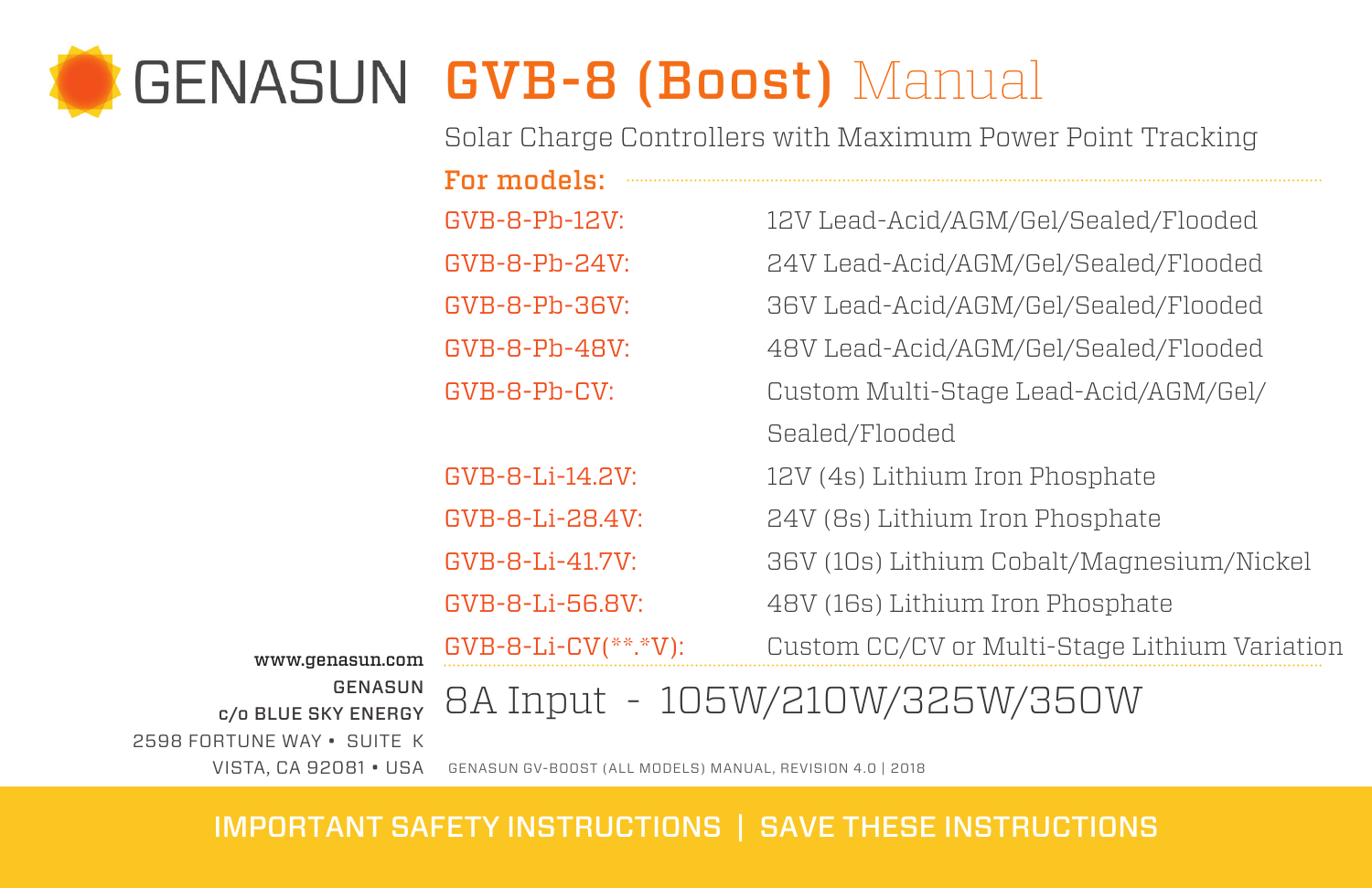# GENASUN GVB-8 (Boost) Manual

Solar Charge Controllers with Maximum Power Point Tracking

|                                                   | For models:           |                                               |  |  |  |
|---------------------------------------------------|-----------------------|-----------------------------------------------|--|--|--|
|                                                   | $GVB-B-Pb-12V:$       | 12V Lead-Acid/AGM/Gel/Sealed/Flooded          |  |  |  |
|                                                   | $GVB-B-Pb-24V:$       | 24V Lead-Acid/AGM/Gel/Sealed/Flooded          |  |  |  |
|                                                   | GVB-8-Pb-36V:         | 36V Lead-Acid/AGM/Gel/Sealed/Flooded          |  |  |  |
|                                                   | $GVB-B-Pb-4BV:$       | 48V Lead-Acid/AGM/Gel/Sealed/Flooded          |  |  |  |
|                                                   | GVB-8-Ph-CV:          | Custom Multi-Stage Lead-Acid/AGM/Gel/         |  |  |  |
|                                                   |                       | Sealed/Flooded                                |  |  |  |
|                                                   | GVB-8-Li-14.2V:       | 12V (4s) Lithium Iron Phosphate               |  |  |  |
|                                                   | GVB-8-Li-28.4V:       | 24V (8s) Lithium Iron Phosphate               |  |  |  |
|                                                   | GVB-8-Li-41.7V:       | 36V (10s) Lithium Cobalt/Magnesium/Nickel     |  |  |  |
|                                                   | GVB-8-Li-56.8V:       | 48V (16s) Lithium Iron Phosphate              |  |  |  |
| www.genasun.com<br>GENASUN<br>c/o BLUE SKY ENERGY | $GVB-B-Li-CV(**.*V):$ | Custom CC/CV or Multi-Stage Lithium Variation |  |  |  |
|                                                   |                       | 8A Input - 105W/210W/325W/350W                |  |  |  |

www.genasun.com GENASU 2598 FORTUNE WAY • SUITE K

VISTA, CA 92081 • USA GENASUN GV-BOOST (ALL MODELS) MANUAL, REVISION 4.0 | 2018

## IMPORTANT SAFETY INSTRUCTIONS | SAVE THESE INSTRUCTIONS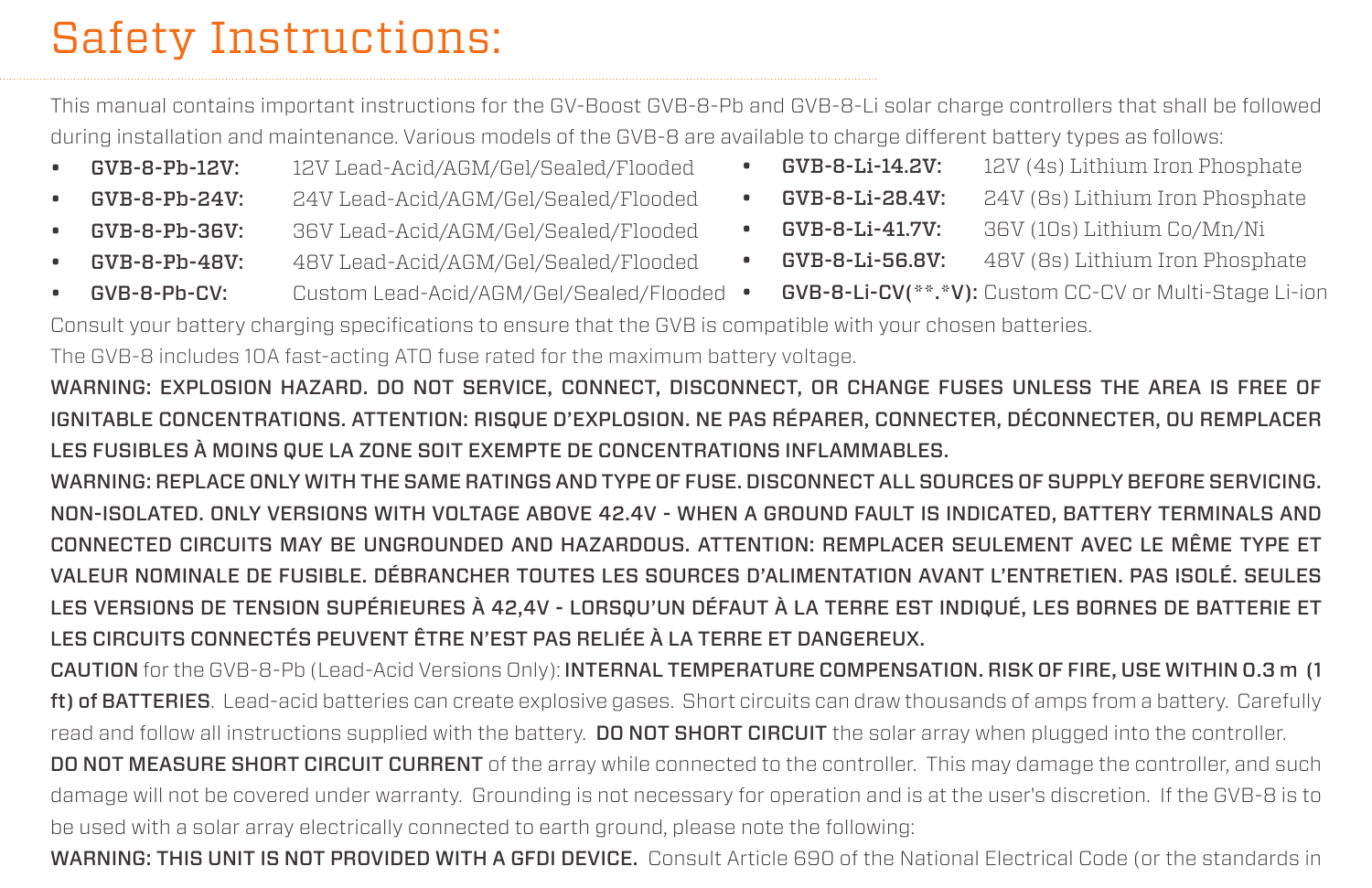# Safety Instructions:

This manual contains important instructions for the GV-Boost GVB-8-Pb and GVB-8-Li solar charge controllers that shall be followed during installation and maintenance. Various models of the GVB-8 are available to charge different battery types as follows:

- GVB-8-Pb-12V: 12V Lead-Acid/AGM/Gel/Sealed/Flooded
- GVB-8-Pb-24V: 24V Lead-Acid/AGM/Gel/Sealed/Flooded
- GVB-8-Pb-36V: 36V Lead-Acid/AGM/Gel/Sealed/Flooded
- GVB-8-Pb-48V: 48V Lead-Acid/AGM/Gel/Sealed/Flooded
- GVB-8-Li-14.2V: 12V (4s) Lithium Iron Phosphate
- **GVB-8-Li-28.4V:** 24V (8s) Lithium Iron Phosphate
- GVB-8-Li-41.7V: 36V (10s) Lithium Co/Mn/Ni
- 
- GVB-8-Li-56.8V: 48V (8s) Lithium Iron Phosphate
- **GVB-8-Pb-CV:** Custom Lead-Acid/AGM/Gel/Sealed/Flooded • GVB-8-Li-CV(\*\*.\*V): Custom CC-CV or Multi-Stage Li-ion

Consult your battery charging specifications to ensure that the GVB is compatible with your chosen batteries.

The GVB-8 includes 10A fast-acting ATO fuse rated for the maximum battery voltage.

WARNING: EXPLOSION HAZARD. DO NOT SERVICE, CONNECT, DISCONNECT, OR CHANGE FUSES UNLESS THE AREA IS FREE OF IGNITABLE CONCENTRATIONS. ATTENTION: RISQUE D'EXPLOSION. NE PAS RÉPARER, CONNECTER, DÉCONNECTER, OU REMPLACER LES FUSIBLES À MOINS QUE LA ZONE SOIT EXEMPTE DE CONCENTRATIONS INFLAMMABLES.

WARNING: REPLACE ONLY WITH THE SAME RATINGS AND TYPE OF FUSE. DISCONNECT ALL SOURCES OF SUPPLY BEFORE SERVICING. NON-ISOLATED. ONLY VERSIONS WITH VOLTAGE ABOVE 42.4V - WHEN A GROUND FAULT IS INDICATED, BATTERY TERMINALS AND CONNECTED CIRCUITS MAY BE UNGROUNDED AND HAZARDOUS. ATTENTION: REMPLACER SEULEMENT AVEC LE MÊME TYPE ET VALEUR NOMINALE DE FUSIBLE. DÉBRANCHER TOUTES LES SOURCES D'ALIMENTATION AVANT L'ENTRETIEN. PAS ISOLÉ. SEULES LES VERSIONS DE TENSION SUPÉRIEURES À 42,4V - LORSQU'UN DÉFAUT À LA TERRE EST INDIQUÉ, LES BORNES DE BATTERIE ET LES CIRCUITS CONNECTÉS PEUVENT ÊTRE N'EST PAS RELIÉE À LA TERRE ET DANGEREUX.

CAUTION for the GVB-8-Pb (Lead-Acid Versions Only): INTERNAL TEMPERATURE COMPENSATION. RISK OF FIRE, USE WITHIN 0.3 m (1 ft) of BATTERIES. Lead-acid batteries can create explosive gases. Short circuits can draw thousands of amps from a battery. Carefully read and follow all instructions supplied with the battery. DO NOT SHORT CIRCUIT the solar array when plugged into the controller.

DO NOT MEASURE SHORT CIRCUIT CURRENT of the array while connected to the controller. This may damage the controller, and such damage will not be covered under warranty. Grounding is not necessary for operation and is at the user's discretion. If the GVB-8 is to be used with a solar array electrically connected to earth ground, please note the following:

WARNING: THIS UNIT IS NOT PROVIDED WITH A GFDI DEVICE. Consult Article 690 of the National Electrical Code (or the standards in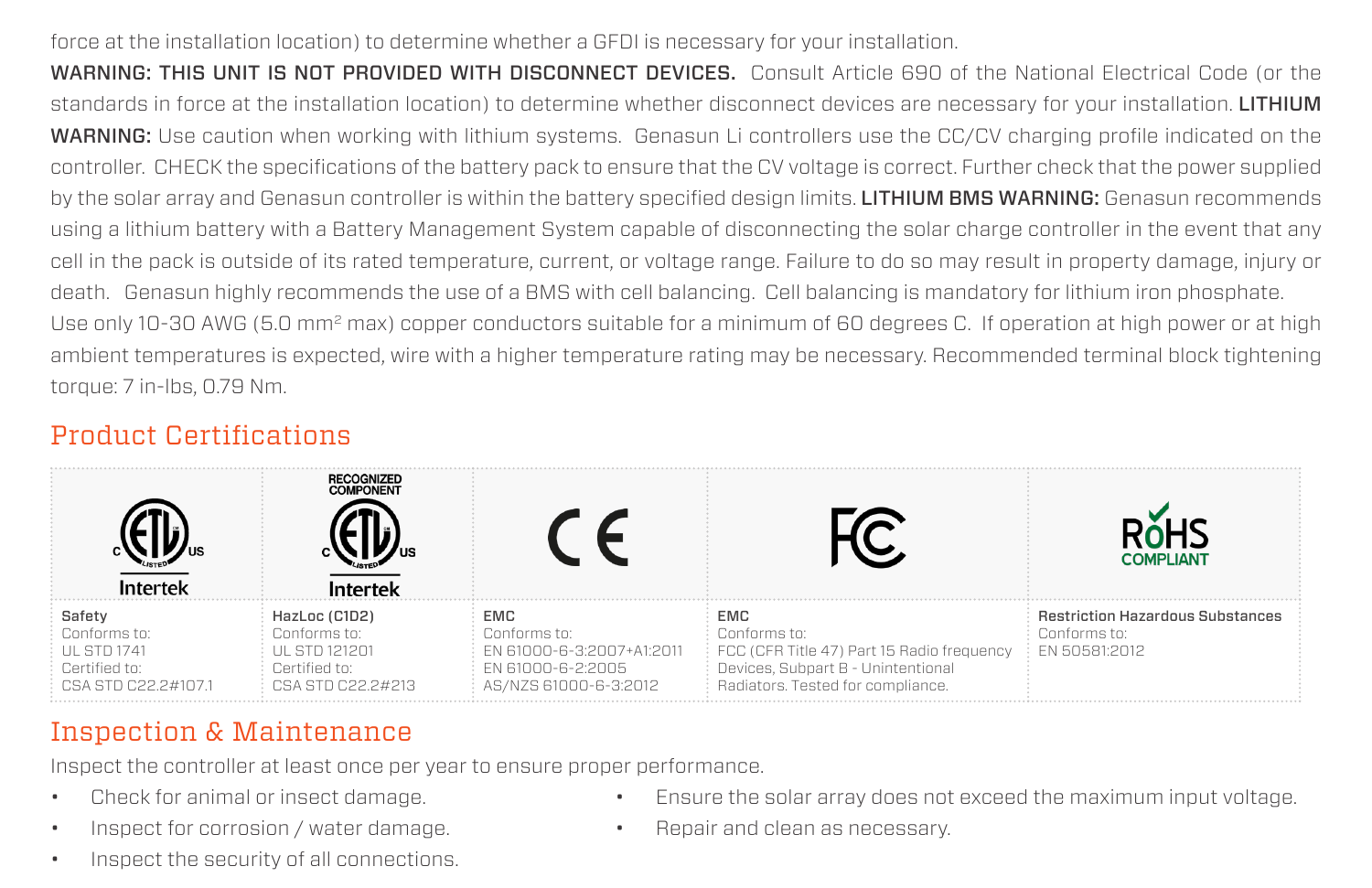#### force at the installation location) to determine whether a GFDI is necessary for your installation.

WARNING: THIS UNIT IS NOT PROVIDED WITH DISCONNECT DEVICES. Consult Article 690 of the National Electrical Code (or the standards in force at the installation location) to determine whether disconnect devices are necessary for your installation. LITHIUM WARNING: Use caution when working with lithium systems. Genasun Li controllers use the CC/CV charging profile indicated on the controller. CHECK the specifications of the battery pack to ensure that the CV voltage is correct. Further check that the power supplied by the solar array and Genasun controller is within the battery specified design limits. LITHIUM BMS WARNING: Genasun recommends using a lithium battery with a Battery Management System capable of disconnecting the solar charge controller in the event that any cell in the pack is outside of its rated temperature, current, or voltage range. Failure to do so may result in property damage, injury or death. Genasun highly recommends the use of a BMS with cell balancing. Cell balancing is mandatory for lithium iron phosphate. Use only 10-30 AWG (5.0 mm<sup>2</sup> max) copper conductors suitable for a minimum of 60 degrees C. If operation at high power or at high ambient temperatures is expected, wire with a higher temperature rating may be necessary. Recommended terminal block tightening torque: 7 in-lbs, 0.79 Nm.

## Product Certifications

|                                                                                     | <b>RECOGNIZED</b><br><b>COMPONENT</b>                                                |                                                                                                |                                                                                                                                              | <b>COMPLIANT</b>                                                                       |
|-------------------------------------------------------------------------------------|--------------------------------------------------------------------------------------|------------------------------------------------------------------------------------------------|----------------------------------------------------------------------------------------------------------------------------------------------|----------------------------------------------------------------------------------------|
| Safety<br>Conforms to:<br><b>UL STD 1741</b><br>Certified to:<br>CSA STD C22 2#1071 | HazLoc (C1D2)<br>Conforms to:<br>UL STD 121201<br>Certified to:<br>CSA STD C22 2#213 | EMC<br>Conforms to:<br>FN 61000-6-3:2007+A1:2011<br>FN 61000-6-2:2005<br>AS/NZS 61000-6-3:2012 | EMC<br>Conforms to:<br>FCC (CFR Title 47) Part 15 Radio frequency<br>Devices, Subpart B - Unintentional<br>Radiators. Tested for compliance. | <b>Restriction Hazardous Substances</b><br>Conforms to:<br>$\frac{1}{2}$ EN 50581:2012 |

# Inspection & Maintenance

Inspect the controller at least once per year to ensure proper performance.

- Check for animal or insect damage.
- Inspect for corrosion / water damage.
- Inspect the security of all connections.
- Ensure the solar array does not exceed the maximum input voltage.
- Repair and clean as necessary.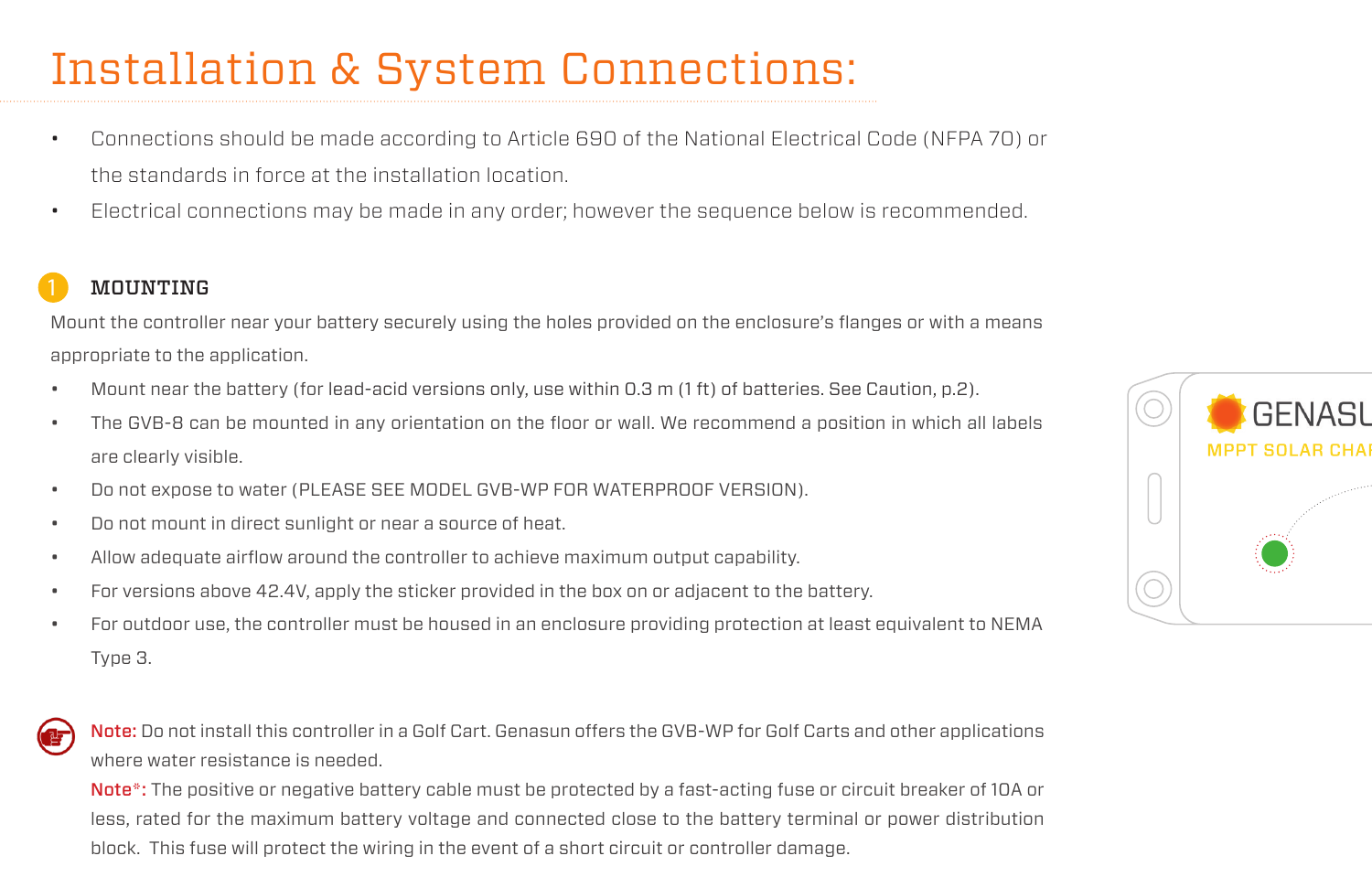# Installation & System Connections:

- Connections should be made according to Article 690 of the National Electrical Code (NFPA 70) or the standards in force at the installation location.
- Electrical connections may be made in any order; however the sequence below is recommended.

### **MOUNTING**

Mount the controller near your battery securely using the holes provided on the enclosure's flanges or with a means appropriate to the application.

- Mount near the battery (for lead-acid versions only, use within 0.3 m (1 ft) of batteries. See Caution, p.2).
- The GVB-8 can be mounted in any orientation on the floor or wall. We recommend a position in which all labels are clearly visible.
- Do not expose to water (PLEASE SEE MODEL GVB-WP FOR WATERPROOF VERSION).
- Do not mount in direct sunlight or near a source of heat.
- Allow adequate airflow around the controller to achieve maximum output capability.
- For versions above 42.4V, apply the sticker provided in the box on or adjacent to the battery.
- For outdoor use, the controller must be housed in an enclosure providing protection at least equivalent to NEMA Type 3.



Note: Do not install this controller in a Golf Cart. Genasun offers the GVB-WP for Golf Carts and other applications where water resistance is needed.

Note<sup>\*</sup>: The positive or negative battery cable must be protected by a fast-acting fuse or circuit breaker of 10A or less, rated for the maximum battery voltage and connected close to the battery terminal or power distribution block. This fuse will protect the wiring in the event of a short circuit or controller damage.

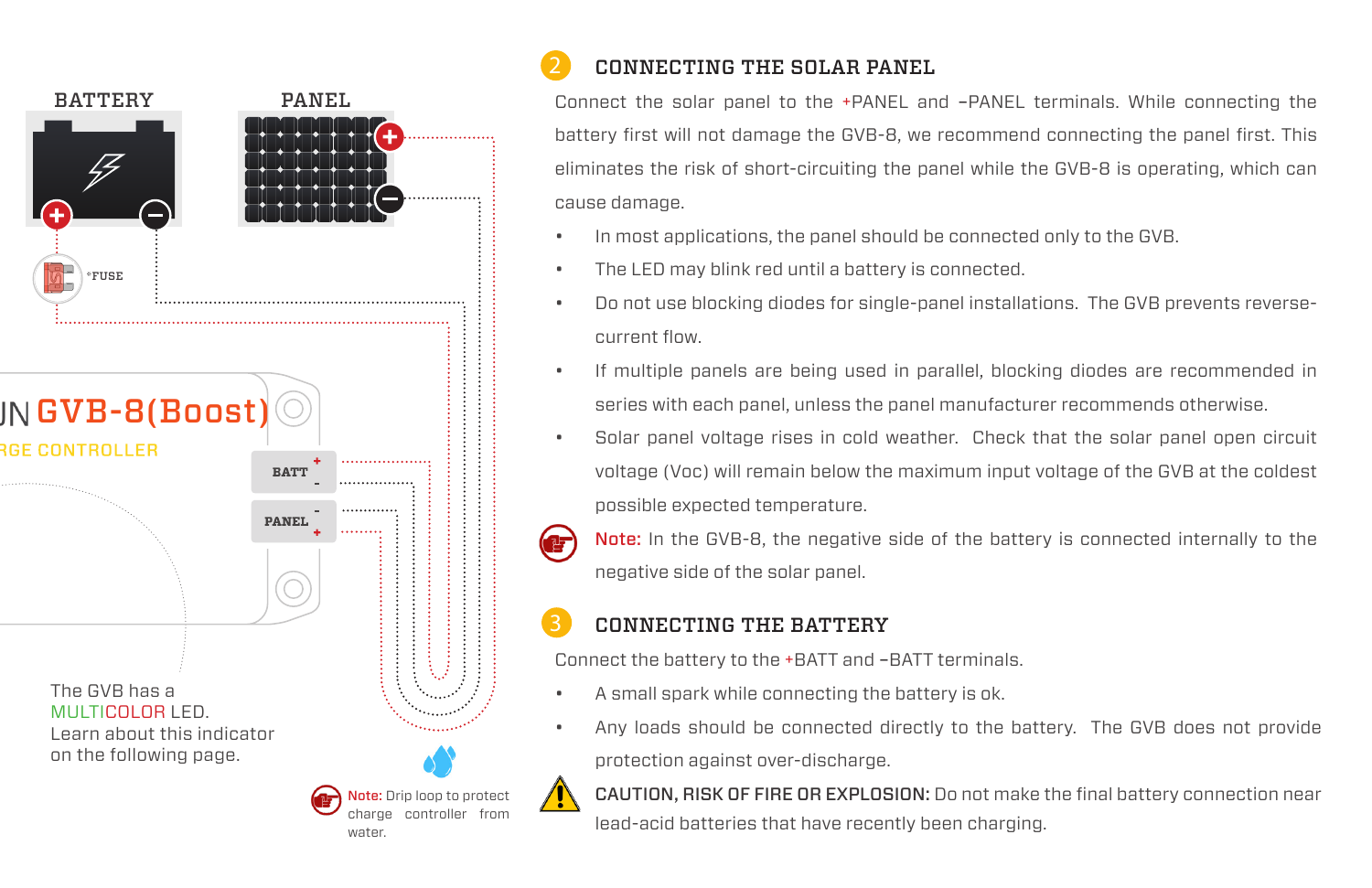

# CONNECTING THE SOLAR PANEL

Connect the solar panel to the +PANEL and –PANEL terminals. While connecting the battery first will not damage the GVB-8, we recommend connecting the panel first. This eliminates the risk of short-circuiting the panel while the GVB-8 is operating, which can cause damage.

- In most applications, the panel should be connected only to the GVB.
- The LED may blink red until a battery is connected.
- Do not use blocking diodes for single-panel installations. The GVB prevents reversecurrent flow.
- If multiple panels are being used in parallel, blocking diodes are recommended in series with each panel, unless the panel manufacturer recommends otherwise.
- Solar panel voltage rises in cold weather. Check that the solar panel open circuit voltage (Voc) will remain below the maximum input voltage of the GVB at the coldest possible expected temperature.
	- Note: In the GVB-8, the negative side of the battery is connected internally to the negative side of the solar panel.

### CONNECTING THE BATTERY

Connect the battery to the +BATT and –BATT terminals.

- A small spark while connecting the battery is ok.
- Any loads should be connected directly to the battery. The GVB does not provide protection against over-discharge.

CAUTION, RISK OF FIRE OR EXPLOSION: Do not make the final battery connection near lead-acid batteries that have recently been charging.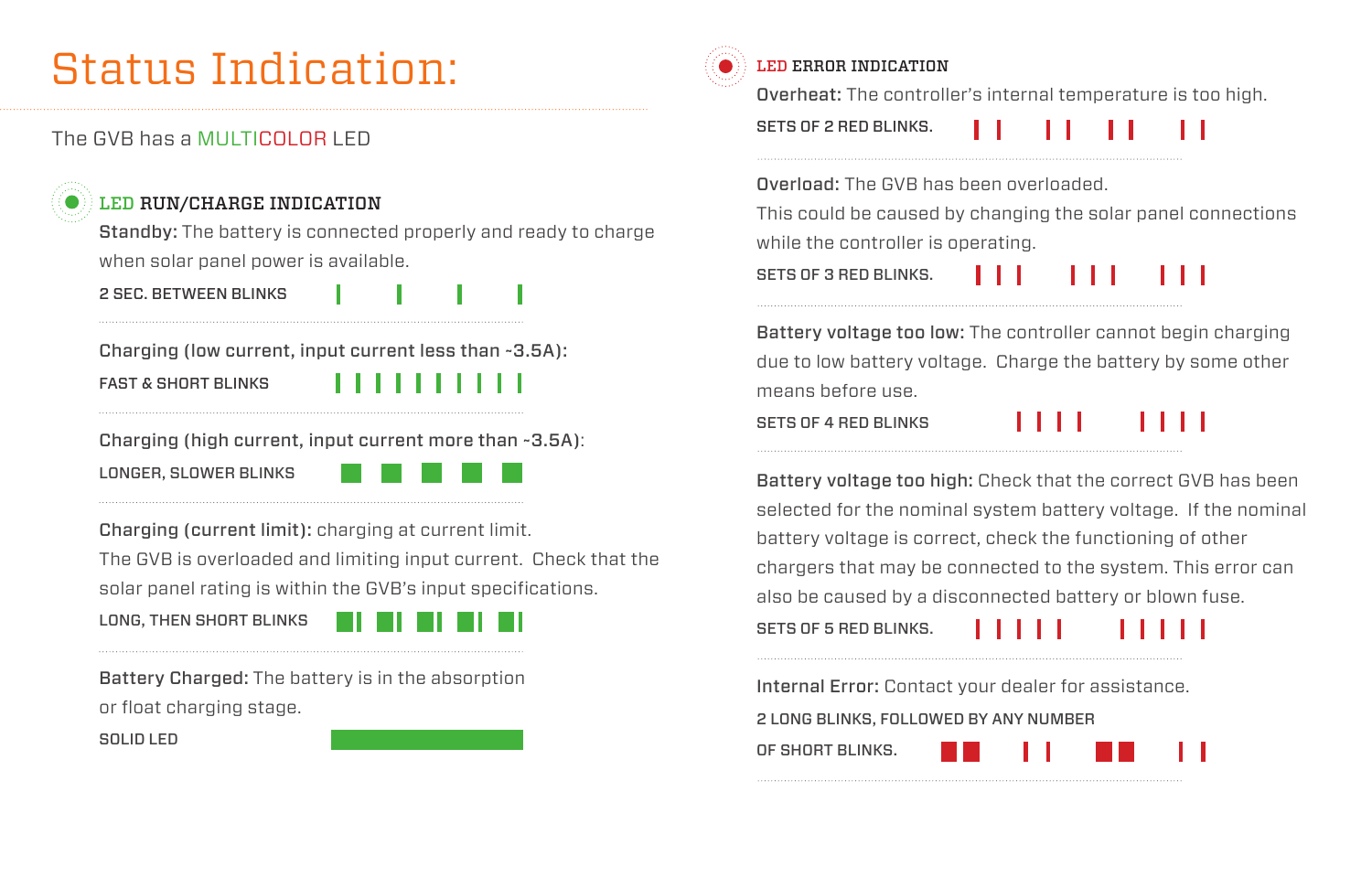# Status Indication:

#### The GVB has a MULTICOLOR LED

### LED RUN/CHARGE INDICATION

Standby: The battery is connected properly and ready to charge when solar panel power is available.

2 SEC. BETWEEN BLINKS

Charging (low current, input current less than ~3.5A): FAST & SHORT BLINKS

Charging (high current, input current more than ~3.5A):

LONGER, SLOWER BLINKS



Charging (current limit): charging at current limit. The GVB is overloaded and limiting input current. Check that the solar panel rating is within the GVB's input specifications.

LONG, THEN SHORT BLINKS



Battery Charged: The battery is in the absorption or float charging stage.

SOLID LED



#### LED ERROR INDICATION

Overheat: The controller's internal temperature is too high.

SETS OF 2 RED BLINKS.

Overload: The GVB has been overloaded.

This could be caused by changing the solar panel connections while the controller is operating.

SETS OF 3 RED BLINKS.

Battery voltage too low: The controller cannot begin charging due to low battery voltage. Charge the battery by some other means before use.

SETS OF 4 RED BLINKS

. . .

Battery voltage too high: Check that the correct GVB has been selected for the nominal system battery voltage. If the nominal battery voltage is correct, check the functioning of other chargers that may be connected to the system. This error can also be caused by a disconnected battery or blown fuse.

SETS OF 5 RED BLINKS.

Internal Error: Contact your dealer for assistance.

2 LONG BLINKS, FOLLOWED BY ANY NUMBER

OF SHORT BLINKS.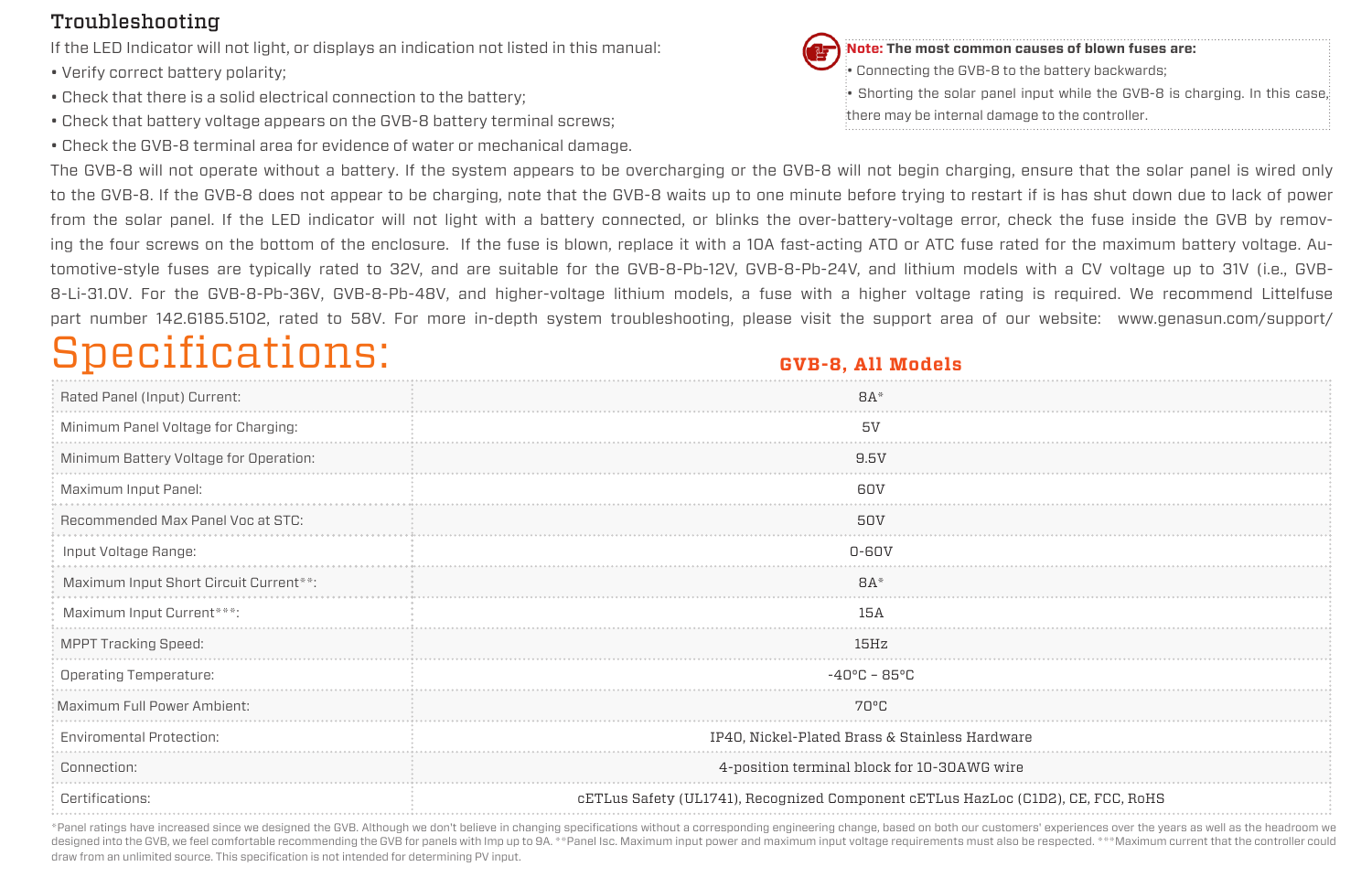#### Troubleshooting

If the LED Indicator will not light, or displays an indication not listed in this manual:

- Verify correct battery polarity;
- Check that there is a solid electrical connection to the battery;
- Check that battery voltage appears on the GVB-8 battery terminal screws;
- Check the GVB-8 terminal area for evidence of water or mechanical damage.



**Note: The most common causes of blown fuses are:**

Connecting the GVB-8 to the battery backwards;

• Shorting the solar panel input while the GVB-8 is charging. In this case,

there may be internal damage to the controller.

The GVB-8 will not operate without a battery. If the system appears to be overcharging or the GVB-8 will not begin charging, ensure that the solar panel is wired only to the GVB-8. If the GVB-8 does not appear to be charging, note that the GVB-8 waits up to one minute before trying to restart if is has shut down due to lack of power from the solar panel. If the LED indicator will not light with a battery connected, or blinks the over-battery-voltage error, check the fuse inside the GVB by removing the four screws on the bottom of the enclosure. If the fuse is blown, replace it with a 10A fast-acting ATO or ATC fuse rated for the maximum battery voltage. Automotive-style fuses are typically rated to 32V, and are suitable for the GVB-8-Pb-12V, GVB-8-Pb-24V, and lithium models with a CV voltage up to 31V (i.e., GVB-8-Li-31.0V. For the GVB-8-Pb-36V, GVB-8-Pb-48V, and higher-voltage lithium models, a fuse with a higher voltage rating is required. We recommend Littelfuse part number 142.6185.5102, rated to 58V. For more in-depth system troubleshooting, please visit the support area of our website: www.genasun.com/support/

# Specifications:

#### **GVB-8, All Models**

| Rated Panel (Input) Current:           | BA                                                                               |  |  |
|----------------------------------------|----------------------------------------------------------------------------------|--|--|
| Minimum Panel Voltage for Charging:    | 51                                                                               |  |  |
| Minimum Battery Voltage for Operation: | 9.5V                                                                             |  |  |
| Maximum Input Panel:                   | 60V                                                                              |  |  |
| Recommended Max Panel Voc at STC:      | 50V                                                                              |  |  |
| Input Voltage Range:                   | $0 - 60V$                                                                        |  |  |
| Maximum Input Short Circuit Current**: | $BA*$                                                                            |  |  |
| Maximum Input Current***:              | 15A                                                                              |  |  |
| <b>MPPT Tracking Speed:</b>            | 15Hz                                                                             |  |  |
| Operating Temperature:                 | $-40^{\circ}$ C – 85°C                                                           |  |  |
| Maximum Full Power Ambient:            | 70°C                                                                             |  |  |
| <b>Enviromental Protection:</b>        | IP40, Nickel-Plated Brass & Stainless Hardware                                   |  |  |
| Connection:                            | 4-position terminal block for 10-30AWG wire                                      |  |  |
| Certifications:                        | cETLus Safety (UL1741), Recognized Component cETLus HazLoc (C1D2), CE, FCC, RoHS |  |  |

\*Panel ratings have increased since we designed the GVB. Although we don't believe in changing specifications without a corresponding engineering change, based on both our customers' experiences over the years as well as t designed into the GVB, we feel comfortable recommending the GVB for panels with Imp up to 9A. \*\*Panel Isc. Maximum input power and maximum input voltage requirements must also be respected. \*\*\*Maximum current that the cont draw from an unlimited source. This specification is not intended for determining PV input.